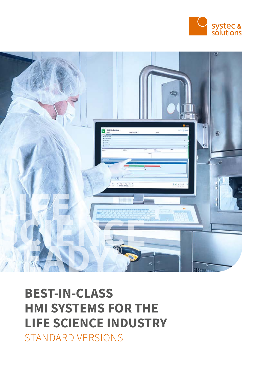



# BEST-IN-CLASS HMI SYSTEMS FOR THE LIFE SCIENCE INDUSTRY STANDARD VERSIONS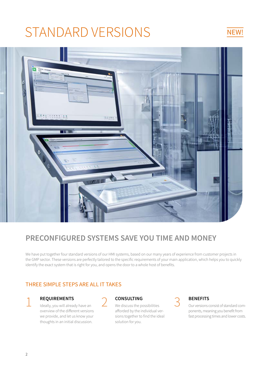# STANDARD VERSIONS NEW!



# PRECONFIGURED SYSTEMS SAVE YOU TIME AND MONEY

We have put together four standard versions of our HMI systems, based on our many years of experience from customer projects in the GMP sector. These versions are perfectly tailored to the specific requirements of your main application, which helps you to quickly identify the exact system that is right for you, and opens the door to a whole host of benefits.

### THREE SIMPLE STEPS ARE ALL IT TAKES

**1 REQUIREMENTS**<br>Ideally, you will already have an overview of the different versions we provide, and let us know your thoughts in an initial discussion.



2 **CONSULTING**<br>We discuss the possibilities afforded by the individual versions together to find the ideal solution for you.



3 BENEFITS Our versions consist of standard components, meaning you benefit from fast processing times and lower costs.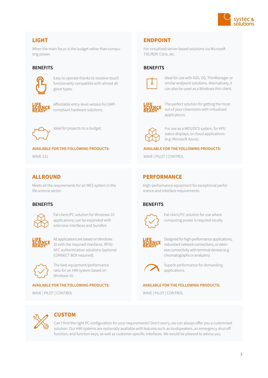

### LIGHT

When the main focus is the budget rather than computing power.

#### **BENEFITS**



Easy to operate thanks to resistive touch functionality compatible with almost all glove types.



Affordable entry-level version for GMPcompliant hardware solutions.



Ideal for projects on a budget.

#### AVAILABLE FOR THE FOLLOWING PRODUCTS:

WAVE 221

#### ALLROUND

Meets all the requirements for an MES system in the life science sector.

#### **BENEFITS**



Fat client/PC solution for Windows 10 applications; can be expanded with extensive interfaces and bundles.



All applications are based on Windows 10 with the required interfaces. RFID/ NFC authentication solutions (optional CONNECT BOX required).



The best equipment/performance ratio for an HMI system based on Windows 10.

#### AVAILABLE FOR THE FOLLOWING PRODUCTS:

WAVE | PILOT | CONTROL

### ENDPOINT

For virtualized server-based solutions via Microsoft TSE/RDP, Citrix, etc.

#### **BENEFITS**



Ideal for use with IGEL OS, ThinManager or similar endpoint solutions. Alternatively, it can also be used as a Windows thin client.



The perfect solution for getting the most out of your cleanroom with virtualized applications.



For use as a MES/DCS system, for KPI/ status displays, or cloud applications (e.g. Microsoft Azure).

#### AVAILABLE FOR THE FOLLOWING PRODUCTS:

WAVE | PILOT | CONTROL

#### PERFORMANCE

High-performance equipment for exceptional performance and interface requirements.

#### **BENEFITS**



Fat client/PC solution for use where computing power is required locally.



Designed for high-performance applications, redundant network connections, or extensive connectivity with terminal devices (e.g. chromatographs or analyzers).



Superb performance for demanding applications.

#### AVAILABLE FOR THE FOLLOWING PRODUCTS:

WAVE | PILOT | CONTROL



#### CUSTOM

Can't find the right PC configuration for your requirements? Don't worry, we can always offer you a customized solution. Our HMI systems are optionally available with features such as loudspeakers, an emergency shut-off function, and function keys, as well as customer-specific interfaces. We would be pleased to advise you.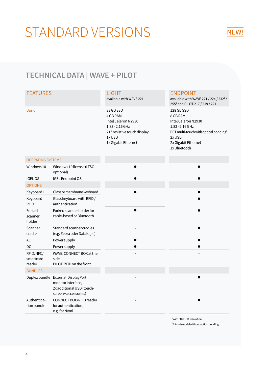# STANDARD VERSIONS

## NEW!

## TECHNICAL DATA | WAVE + PILOT

#### FEATURES

Basic

## LIGHT

available with WAVE 221

32 GB SSD 4 GB RAM Intel Celeron N2930 1.83 - 2.16 GHz 21" resistive touch display 1x USB 1x Gigabit Ethernet

#### ENDPOINT

available with WAVE 221 / 224 / 232<sup>1</sup> / 2551 and PILOT 217 / 219 / 221 128 GB SSD 8 GB RAM Intel Celeron N2930 1.83 - 2.16 GHz PCT multi-touch with optical bonding<sup>2</sup> 2x USB 2x Gigabit Ethernet 1x Bluetooth

#### OPERATING SYSTEMS

| Windows 10                       | Windows 10 license (LTSC<br>optional)                                                           |
|----------------------------------|-------------------------------------------------------------------------------------------------|
| <b>IGELOS</b>                    | <b>IGEL Endpoint OS</b>                                                                         |
| <b>OPTIONS</b>                   |                                                                                                 |
| Keyboard+                        | Glass or membrane keyboard                                                                      |
| Keyboard<br><b>RFID</b>          | Glass keyboard with RFID/<br>authentication                                                     |
| Forked<br>scanner<br>holder      | Forked scanner holder for<br>cable-based or Bluetooth                                           |
| Scanner<br>cradle                | Standard scanner cradles<br>(e.g. Zebra oder Datalogic)                                         |
| AC                               | Powersupply                                                                                     |
| DC.                              | Powersupply                                                                                     |
| RFID/NFC/<br>smartcard<br>reader | WAVE: CONNECT BOX at the<br>side<br>PILOT:RFID on the front                                     |
| <b>BUNDLES</b>                   |                                                                                                 |
| Duplex bundle                    | External DisplayPort<br>monitor interface,<br>2x additional USB (touch-<br>screen+ accessories) |
| Authentica-<br>tion bundle       | CONNECT BOX/RFID reader<br>for authentication,<br>e.g. for Nymi                                 |

| $\bullet$ | $\bullet$                |
|-----------|--------------------------|
|           |                          |
|           |                          |
|           |                          |
|           |                          |
|           |                          |
|           |                          |
|           | $\bullet$                |
|           | $\bullet$                |
|           | $\overline{\phantom{0}}$ |
|           |                          |
|           |                          |
|           |                          |
|           |                          |
|           |                          |
|           |                          |
|           |                          |
|           |                          |
|           | $\mathbf{1}$             |

<sup>1</sup> with FULL-HD resolution  $2$  55-inch model without optical bonding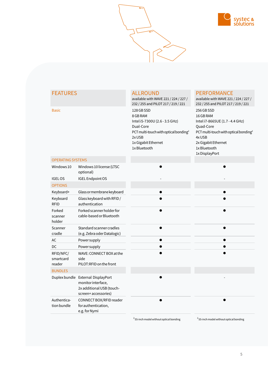

| <b>FEATURES</b>                  |                                                                                                              | <b>ALLROUND</b><br>available with WAVE 221 / 224 / 227 /<br>232 / 255 and PILOT 217 / 219 / 221                                                                             | <b>PERFORMANCE</b><br>available with WAVE 221 / 224 / 227 /<br>232 / 255 and PILOT 217 / 219 / 221                                                                                              |  |
|----------------------------------|--------------------------------------------------------------------------------------------------------------|-----------------------------------------------------------------------------------------------------------------------------------------------------------------------------|-------------------------------------------------------------------------------------------------------------------------------------------------------------------------------------------------|--|
| <b>Basic</b>                     |                                                                                                              | 128 GB SSD<br>8 GB RAM<br>Intel i5-7300U (2.6 - 3.5 GHz)<br>Dual-Core<br>PCT multi-touch with optical bonding <sup>2</sup><br>2x USB<br>1x Gigabit Ethernet<br>1x Bluetooth | 256 GB SSD<br>16 GB RAM<br>Intel i7-8665UE (1.7 - 4.4 GHz)<br>Quad-Core<br>PCT multi-touch with optical bonding <sup>2</sup><br>4x USB<br>2x Gigabit Ethernet<br>1x Bluetooth<br>1x DisplayPort |  |
| <b>OPERATING SYSTEMS</b>         |                                                                                                              |                                                                                                                                                                             |                                                                                                                                                                                                 |  |
| Windows 10                       | Windows 10 license (LTSC<br>optional)                                                                        |                                                                                                                                                                             |                                                                                                                                                                                                 |  |
| <b>IGELOS</b>                    | <b>IGEL Endpoint OS</b>                                                                                      |                                                                                                                                                                             |                                                                                                                                                                                                 |  |
| <b>OPTIONS</b>                   |                                                                                                              |                                                                                                                                                                             |                                                                                                                                                                                                 |  |
| Keyboard+                        | Glass or membrane keyboard                                                                                   |                                                                                                                                                                             | $\bullet$                                                                                                                                                                                       |  |
| Keyboard<br><b>RFID</b>          | Glass keyboard with RFID /<br>authentication                                                                 |                                                                                                                                                                             |                                                                                                                                                                                                 |  |
| Forked<br>scanner<br>holder      | Forked scanner holder for<br>cable-based or Bluetooth                                                        |                                                                                                                                                                             |                                                                                                                                                                                                 |  |
| Scanner<br>cradle                | Standard scanner cradles<br>(e.g. Zebra oder Datalogic)                                                      |                                                                                                                                                                             |                                                                                                                                                                                                 |  |
| AC                               | Powersupply                                                                                                  |                                                                                                                                                                             |                                                                                                                                                                                                 |  |
| DC                               | Powersupply                                                                                                  |                                                                                                                                                                             |                                                                                                                                                                                                 |  |
| RFID/NFC/<br>smartcard<br>reader | WAVE: CONNECT BOX at the<br>side<br>PILOT:RFID on the front                                                  |                                                                                                                                                                             |                                                                                                                                                                                                 |  |
| <b>BUNDLES</b>                   |                                                                                                              |                                                                                                                                                                             |                                                                                                                                                                                                 |  |
|                                  | Duplex bundle External DisplayPort<br>monitor interface,<br>2x additional USB (touch-<br>screen+accessories) |                                                                                                                                                                             |                                                                                                                                                                                                 |  |
| Authentica-<br>tion bundle       | CONNECT BOX/RFID reader<br>for authentication,<br>e.g. for Nymi                                              |                                                                                                                                                                             |                                                                                                                                                                                                 |  |

 $^2$ 55-inch model without optical bonding

 $2$  55-inch model without optical bonding

5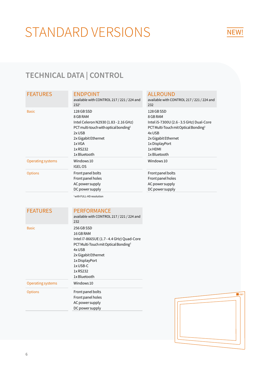# STANDARD VERSIONS

# NEW!

# TECHNICAL DATA | CONTROL

## **FEATURES**

|  |  | c. |  |
|--|--|----|--|
|  |  |    |  |

|                   | available with CONTROL 217 / 221 / 224 and<br>232 <sup>1</sup>                                                                                                                              | available with CONTROL 217 / 221 / 224 and<br>232                                                                                                                                                    |
|-------------------|---------------------------------------------------------------------------------------------------------------------------------------------------------------------------------------------|------------------------------------------------------------------------------------------------------------------------------------------------------------------------------------------------------|
| <b>Basic</b>      | 128 GB SSD<br>8 GB RAM<br>Intel Celeron N2930 (1.83 - 2.16 GHz)<br>PCT multi-touch with optical bonding <sup>2</sup><br>2x USB<br>2x Gigabit Ethernet<br>1x VGA<br>1x RS232<br>1x Bluetooth | 128 GB SSD<br>8 GB RAM<br>Intel i5-7300U (2.6 - 3.5 GHz) Dual-Core<br>PCT Multi-Touch mit Optical Bonding <sup>2</sup><br>4x USB<br>2x Gigabit Ethernet<br>1x DisplayPort<br>1x HDMI<br>1x Bluetooth |
| Operating systems | Windows 10<br><b>IGELOS</b>                                                                                                                                                                 | Windows 10                                                                                                                                                                                           |
| <b>Options</b>    | Front panel bolts<br>Front panel holes<br>AC power supply<br>DC power supply                                                                                                                | Front panel bolts<br>Front panel holes<br>AC power supply<br>DC power supply                                                                                                                         |
|                   |                                                                                                                                                                                             |                                                                                                                                                                                                      |

ALLROUND

<sup>1</sup> with FULL-HD resolution

#### FEATURES PERFORMANCE

| <b>Basic</b> |  |  |
|--------------|--|--|

|                          | available with CONTROL 217 / 221 / 224 and<br>232                                                                                                                                                                  |
|--------------------------|--------------------------------------------------------------------------------------------------------------------------------------------------------------------------------------------------------------------|
| Basic                    | 256 GB SSD<br>16 GB RAM<br>Intel i7-8665UE (1.7 - 4.4 GHz) Quad-Core<br>PCT Multi-Touch mit Optical Bonding <sup>2</sup><br>4x USB<br>2x Gigabit Ethernet<br>1x DisplayPort<br>1x USB-C<br>1xRS232<br>1x Bluetooth |
| <b>Operating systems</b> | Windows 10                                                                                                                                                                                                         |
| <b>Options</b>           | Front panel bolts<br>Front panel holes<br>AC power supply<br>DC power supply                                                                                                                                       |

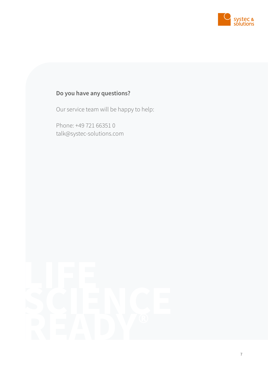

# Do you have any questions?

Our service team will be happy to help:

Phone: +49 721 66351 0 talk@systec-solutions.com